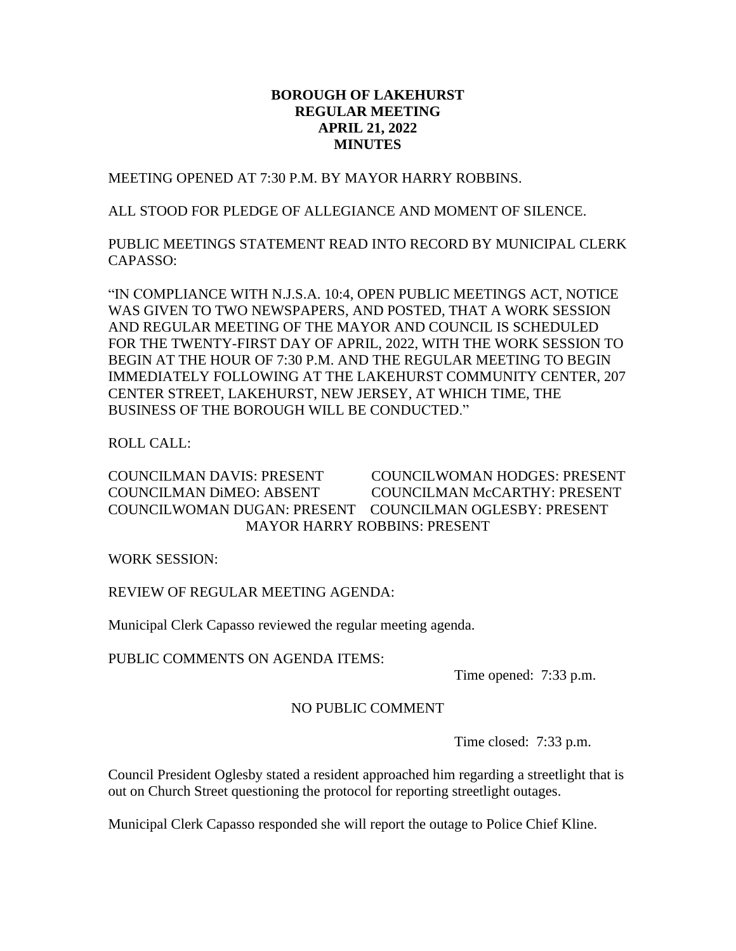# **BOROUGH OF LAKEHURST REGULAR MEETING APRIL 21, 2022 MINUTES**

MEETING OPENED AT 7:30 P.M. BY MAYOR HARRY ROBBINS.

ALL STOOD FOR PLEDGE OF ALLEGIANCE AND MOMENT OF SILENCE.

PUBLIC MEETINGS STATEMENT READ INTO RECORD BY MUNICIPAL CLERK CAPASSO:

"IN COMPLIANCE WITH N.J.S.A. 10:4, OPEN PUBLIC MEETINGS ACT, NOTICE WAS GIVEN TO TWO NEWSPAPERS, AND POSTED, THAT A WORK SESSION AND REGULAR MEETING OF THE MAYOR AND COUNCIL IS SCHEDULED FOR THE TWENTY-FIRST DAY OF APRIL, 2022, WITH THE WORK SESSION TO BEGIN AT THE HOUR OF 7:30 P.M. AND THE REGULAR MEETING TO BEGIN IMMEDIATELY FOLLOWING AT THE LAKEHURST COMMUNITY CENTER, 207 CENTER STREET, LAKEHURST, NEW JERSEY, AT WHICH TIME, THE BUSINESS OF THE BOROUGH WILL BE CONDUCTED."

ROLL CALL:

COUNCILMAN DAVIS: PRESENT COUNCILWOMAN HODGES: PRESENT COUNCILMAN DiMEO: ABSENT COUNCILMAN McCARTHY: PRESENT COUNCILWOMAN DUGAN: PRESENT COUNCILMAN OGLESBY: PRESENT MAYOR HARRY ROBBINS: PRESENT

WORK SESSION:

REVIEW OF REGULAR MEETING AGENDA:

Municipal Clerk Capasso reviewed the regular meeting agenda.

PUBLIC COMMENTS ON AGENDA ITEMS:

Time opened: 7:33 p.m.

# NO PUBLIC COMMENT

Time closed: 7:33 p.m.

Council President Oglesby stated a resident approached him regarding a streetlight that is out on Church Street questioning the protocol for reporting streetlight outages.

Municipal Clerk Capasso responded she will report the outage to Police Chief Kline.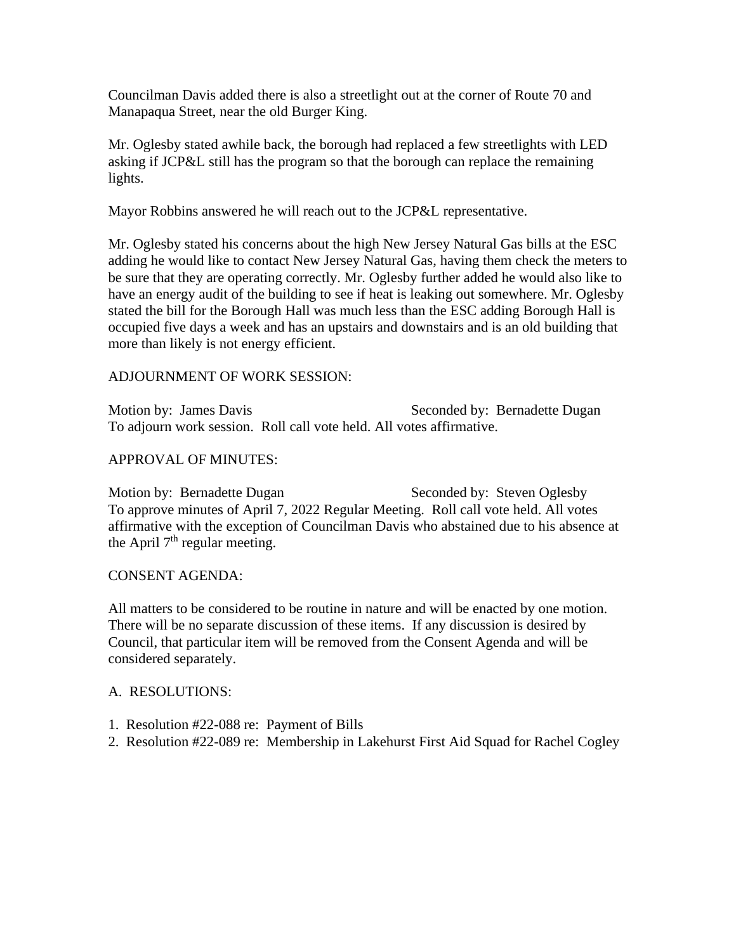Councilman Davis added there is also a streetlight out at the corner of Route 70 and Manapaqua Street, near the old Burger King.

Mr. Oglesby stated awhile back, the borough had replaced a few streetlights with LED asking if JCP&L still has the program so that the borough can replace the remaining lights.

Mayor Robbins answered he will reach out to the JCP&L representative.

Mr. Oglesby stated his concerns about the high New Jersey Natural Gas bills at the ESC adding he would like to contact New Jersey Natural Gas, having them check the meters to be sure that they are operating correctly. Mr. Oglesby further added he would also like to have an energy audit of the building to see if heat is leaking out somewhere. Mr. Oglesby stated the bill for the Borough Hall was much less than the ESC adding Borough Hall is occupied five days a week and has an upstairs and downstairs and is an old building that more than likely is not energy efficient.

# ADJOURNMENT OF WORK SESSION:

Motion by: James Davis Seconded by: Bernadette Dugan To adjourn work session. Roll call vote held. All votes affirmative.

## APPROVAL OF MINUTES:

Motion by: Bernadette Dugan Seconded by: Steven Oglesby To approve minutes of April 7, 2022 Regular Meeting. Roll call vote held. All votes affirmative with the exception of Councilman Davis who abstained due to his absence at the April  $7<sup>th</sup>$  regular meeting.

## CONSENT AGENDA:

All matters to be considered to be routine in nature and will be enacted by one motion. There will be no separate discussion of these items. If any discussion is desired by Council, that particular item will be removed from the Consent Agenda and will be considered separately.

## A. RESOLUTIONS:

- 1. Resolution #22-088 re: Payment of Bills
- 2. Resolution #22-089 re: Membership in Lakehurst First Aid Squad for Rachel Cogley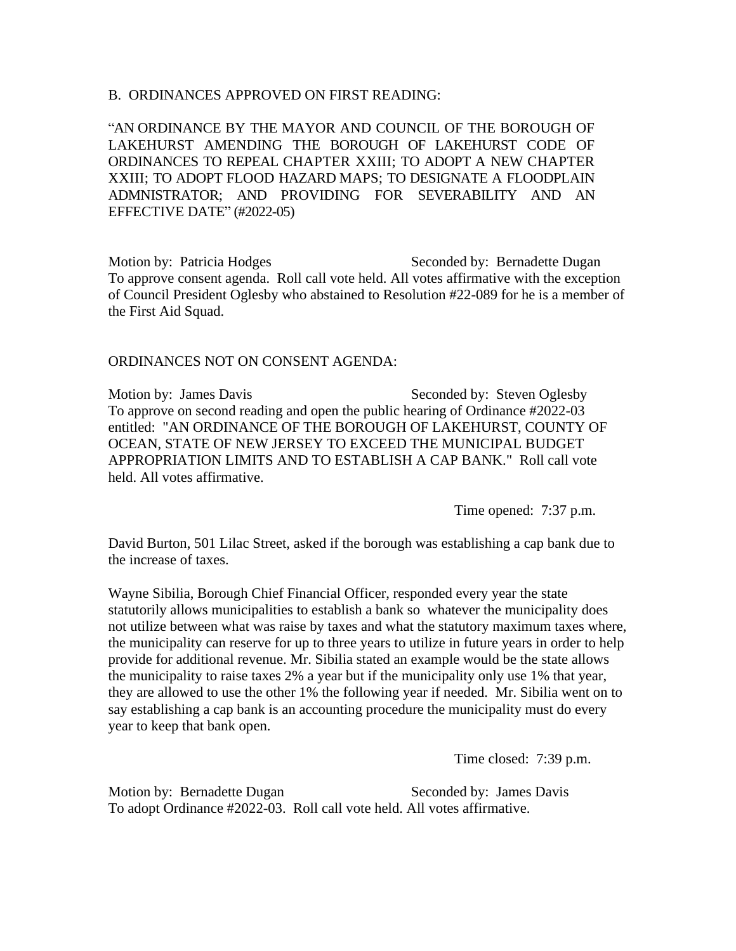#### B. ORDINANCES APPROVED ON FIRST READING:

"AN ORDINANCE BY THE MAYOR AND COUNCIL OF THE BOROUGH OF LAKEHURST AMENDING THE BOROUGH OF LAKEHURST CODE OF ORDINANCES TO REPEAL CHAPTER XXIII; TO ADOPT A NEW CHAPTER XXIII; TO ADOPT FLOOD HAZARD MAPS; TO DESIGNATE A FLOODPLAIN ADMNISTRATOR; AND PROVIDING FOR SEVERABILITY AND AN EFFECTIVE DATE" (#2022-05)

Motion by: Patricia Hodges Seconded by: Bernadette Dugan To approve consent agenda. Roll call vote held. All votes affirmative with the exception of Council President Oglesby who abstained to Resolution #22-089 for he is a member of the First Aid Squad.

#### ORDINANCES NOT ON CONSENT AGENDA:

Motion by: James Davis Seconded by: Steven Oglesby To approve on second reading and open the public hearing of Ordinance #2022-03 entitled: "AN ORDINANCE OF THE BOROUGH OF LAKEHURST, COUNTY OF OCEAN, STATE OF NEW JERSEY TO EXCEED THE MUNICIPAL BUDGET APPROPRIATION LIMITS AND TO ESTABLISH A CAP BANK." Roll call vote held. All votes affirmative.

Time opened: 7:37 p.m.

David Burton, 501 Lilac Street, asked if the borough was establishing a cap bank due to the increase of taxes.

Wayne Sibilia, Borough Chief Financial Officer, responded every year the state statutorily allows municipalities to establish a bank so whatever the municipality does not utilize between what was raise by taxes and what the statutory maximum taxes where, the municipality can reserve for up to three years to utilize in future years in order to help provide for additional revenue. Mr. Sibilia stated an example would be the state allows the municipality to raise taxes 2% a year but if the municipality only use 1% that year, they are allowed to use the other 1% the following year if needed. Mr. Sibilia went on to say establishing a cap bank is an accounting procedure the municipality must do every year to keep that bank open.

Time closed: 7:39 p.m.

Motion by: Bernadette Dugan Seconded by: James Davis To adopt Ordinance #2022-03. Roll call vote held. All votes affirmative.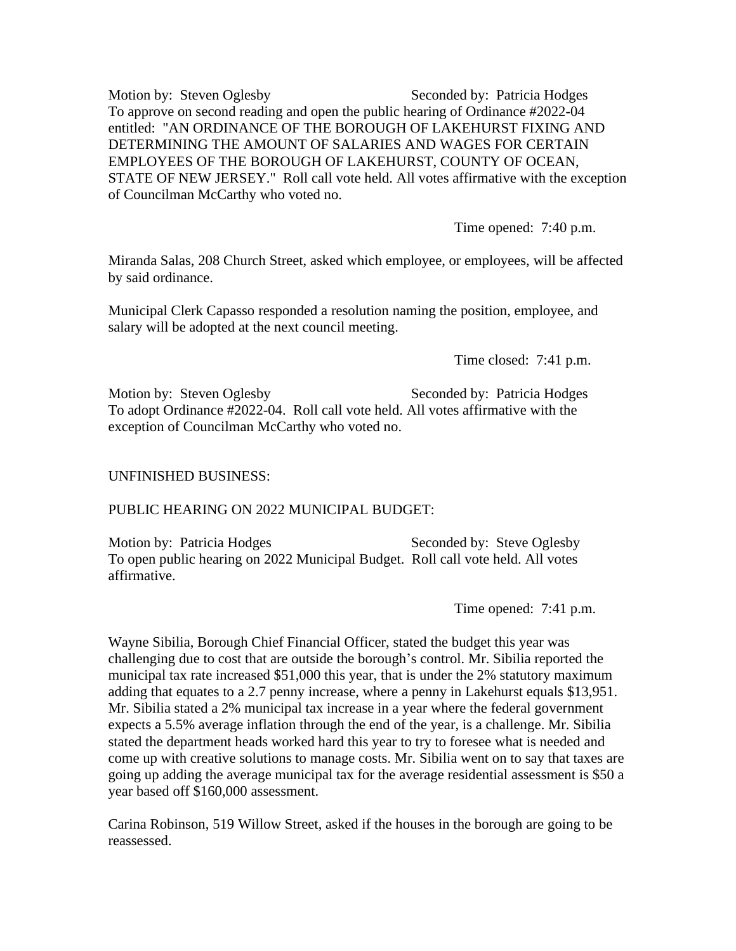Motion by: Steven Oglesby Seconded by: Patricia Hodges To approve on second reading and open the public hearing of Ordinance #2022-04 entitled: "AN ORDINANCE OF THE BOROUGH OF LAKEHURST FIXING AND DETERMINING THE AMOUNT OF SALARIES AND WAGES FOR CERTAIN EMPLOYEES OF THE BOROUGH OF LAKEHURST, COUNTY OF OCEAN, STATE OF NEW JERSEY." Roll call vote held. All votes affirmative with the exception of Councilman McCarthy who voted no.

Time opened: 7:40 p.m.

Miranda Salas, 208 Church Street, asked which employee, or employees, will be affected by said ordinance.

Municipal Clerk Capasso responded a resolution naming the position, employee, and salary will be adopted at the next council meeting.

Time closed: 7:41 p.m.

Motion by: Steven Oglesby Seconded by: Patricia Hodges To adopt Ordinance #2022-04. Roll call vote held. All votes affirmative with the exception of Councilman McCarthy who voted no.

## UNFINISHED BUSINESS:

## PUBLIC HEARING ON 2022 MUNICIPAL BUDGET:

Motion by: Patricia Hodges Seconded by: Steve Oglesby To open public hearing on 2022 Municipal Budget. Roll call vote held. All votes affirmative.

Time opened: 7:41 p.m.

Wayne Sibilia, Borough Chief Financial Officer, stated the budget this year was challenging due to cost that are outside the borough's control. Mr. Sibilia reported the municipal tax rate increased \$51,000 this year, that is under the 2% statutory maximum adding that equates to a 2.7 penny increase, where a penny in Lakehurst equals \$13,951. Mr. Sibilia stated a 2% municipal tax increase in a year where the federal government expects a 5.5% average inflation through the end of the year, is a challenge. Mr. Sibilia stated the department heads worked hard this year to try to foresee what is needed and come up with creative solutions to manage costs. Mr. Sibilia went on to say that taxes are going up adding the average municipal tax for the average residential assessment is \$50 a year based off \$160,000 assessment.

Carina Robinson, 519 Willow Street, asked if the houses in the borough are going to be reassessed.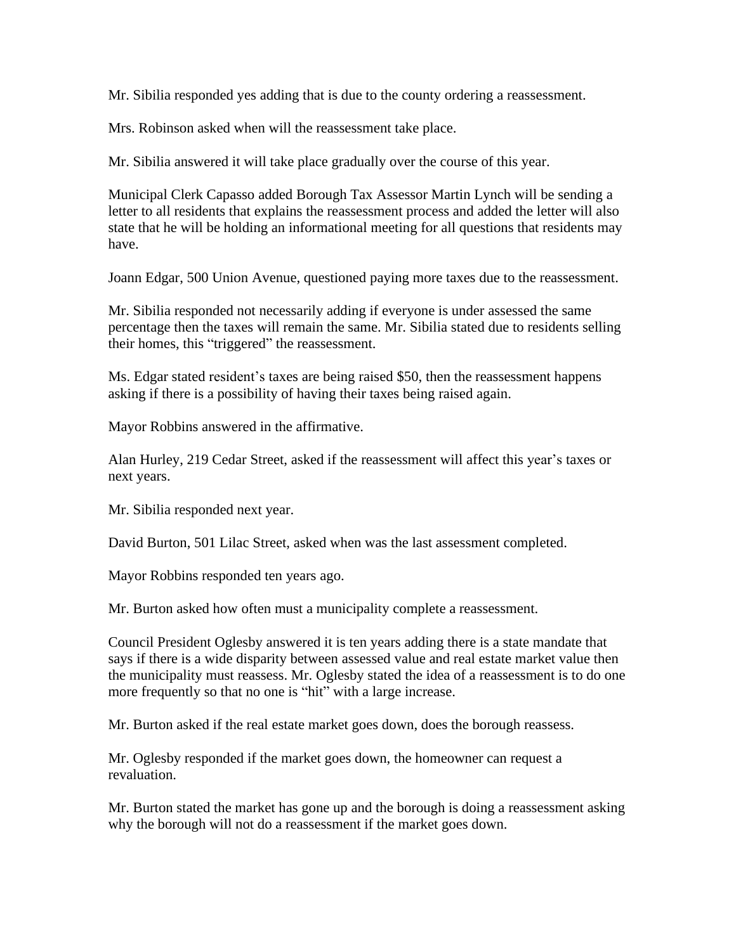Mr. Sibilia responded yes adding that is due to the county ordering a reassessment.

Mrs. Robinson asked when will the reassessment take place.

Mr. Sibilia answered it will take place gradually over the course of this year.

Municipal Clerk Capasso added Borough Tax Assessor Martin Lynch will be sending a letter to all residents that explains the reassessment process and added the letter will also state that he will be holding an informational meeting for all questions that residents may have.

Joann Edgar, 500 Union Avenue, questioned paying more taxes due to the reassessment.

Mr. Sibilia responded not necessarily adding if everyone is under assessed the same percentage then the taxes will remain the same. Mr. Sibilia stated due to residents selling their homes, this "triggered" the reassessment.

Ms. Edgar stated resident's taxes are being raised \$50, then the reassessment happens asking if there is a possibility of having their taxes being raised again.

Mayor Robbins answered in the affirmative.

Alan Hurley, 219 Cedar Street, asked if the reassessment will affect this year's taxes or next years.

Mr. Sibilia responded next year.

David Burton, 501 Lilac Street, asked when was the last assessment completed.

Mayor Robbins responded ten years ago.

Mr. Burton asked how often must a municipality complete a reassessment.

Council President Oglesby answered it is ten years adding there is a state mandate that says if there is a wide disparity between assessed value and real estate market value then the municipality must reassess. Mr. Oglesby stated the idea of a reassessment is to do one more frequently so that no one is "hit" with a large increase.

Mr. Burton asked if the real estate market goes down, does the borough reassess.

Mr. Oglesby responded if the market goes down, the homeowner can request a revaluation.

Mr. Burton stated the market has gone up and the borough is doing a reassessment asking why the borough will not do a reassessment if the market goes down.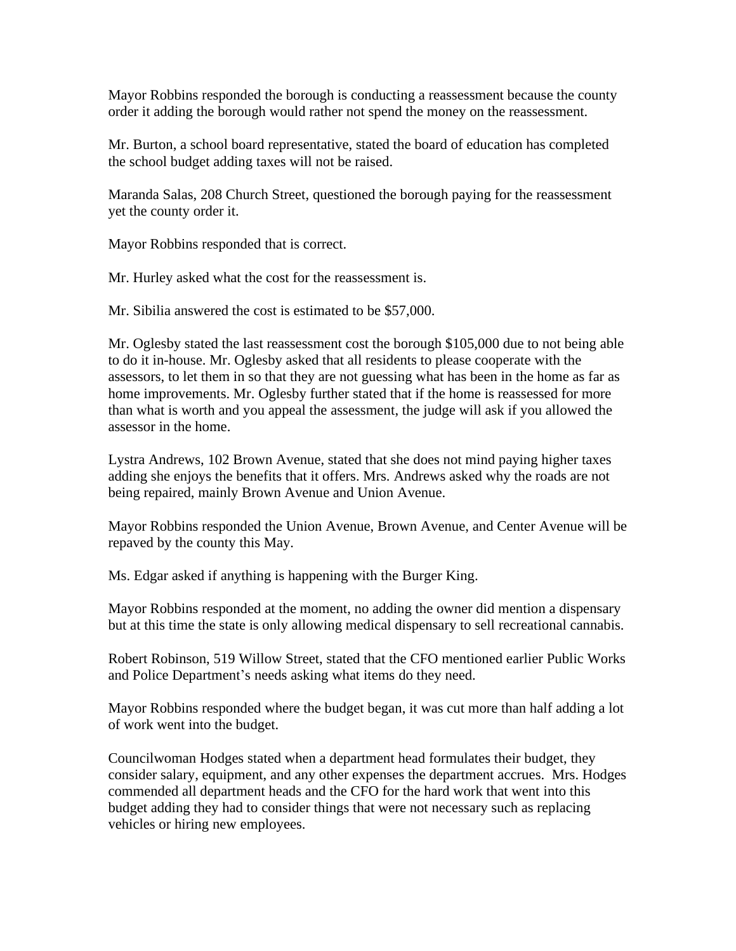Mayor Robbins responded the borough is conducting a reassessment because the county order it adding the borough would rather not spend the money on the reassessment.

Mr. Burton, a school board representative, stated the board of education has completed the school budget adding taxes will not be raised.

Maranda Salas, 208 Church Street, questioned the borough paying for the reassessment yet the county order it.

Mayor Robbins responded that is correct.

Mr. Hurley asked what the cost for the reassessment is.

Mr. Sibilia answered the cost is estimated to be \$57,000.

Mr. Oglesby stated the last reassessment cost the borough \$105,000 due to not being able to do it in-house. Mr. Oglesby asked that all residents to please cooperate with the assessors, to let them in so that they are not guessing what has been in the home as far as home improvements. Mr. Oglesby further stated that if the home is reassessed for more than what is worth and you appeal the assessment, the judge will ask if you allowed the assessor in the home.

Lystra Andrews, 102 Brown Avenue, stated that she does not mind paying higher taxes adding she enjoys the benefits that it offers. Mrs. Andrews asked why the roads are not being repaired, mainly Brown Avenue and Union Avenue.

Mayor Robbins responded the Union Avenue, Brown Avenue, and Center Avenue will be repaved by the county this May.

Ms. Edgar asked if anything is happening with the Burger King.

Mayor Robbins responded at the moment, no adding the owner did mention a dispensary but at this time the state is only allowing medical dispensary to sell recreational cannabis.

Robert Robinson, 519 Willow Street, stated that the CFO mentioned earlier Public Works and Police Department's needs asking what items do they need.

Mayor Robbins responded where the budget began, it was cut more than half adding a lot of work went into the budget.

Councilwoman Hodges stated when a department head formulates their budget, they consider salary, equipment, and any other expenses the department accrues. Mrs. Hodges commended all department heads and the CFO for the hard work that went into this budget adding they had to consider things that were not necessary such as replacing vehicles or hiring new employees.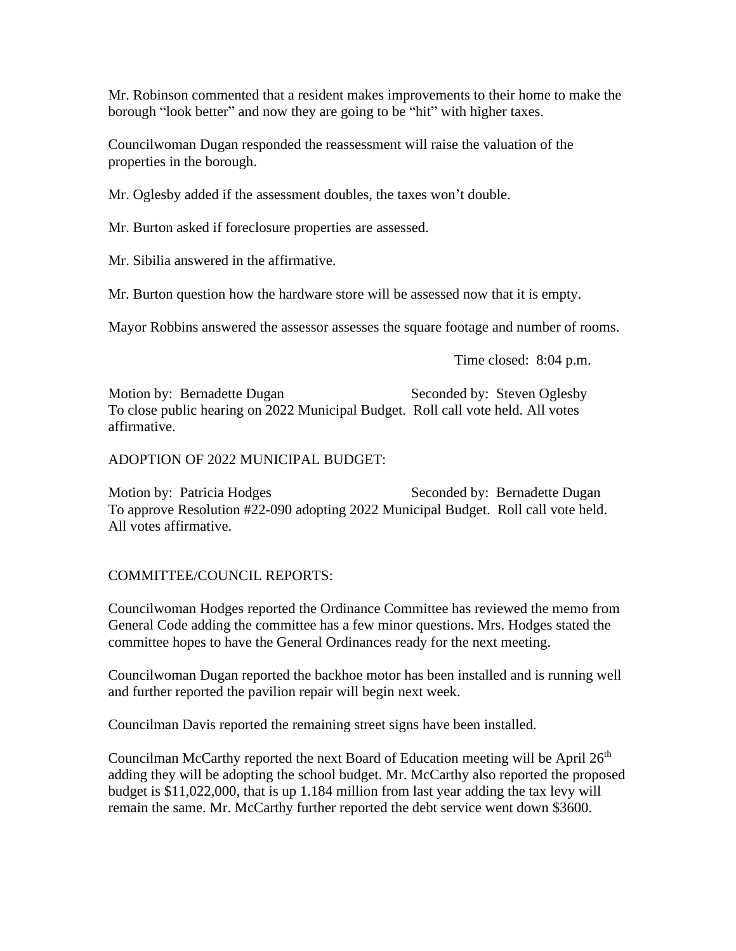Mr. Robinson commented that a resident makes improvements to their home to make the borough "look better" and now they are going to be "hit" with higher taxes.

Councilwoman Dugan responded the reassessment will raise the valuation of the properties in the borough.

Mr. Oglesby added if the assessment doubles, the taxes won't double.

Mr. Burton asked if foreclosure properties are assessed.

Mr. Sibilia answered in the affirmative.

Mr. Burton question how the hardware store will be assessed now that it is empty.

Mayor Robbins answered the assessor assesses the square footage and number of rooms.

Time closed: 8:04 p.m.

Motion by: Bernadette Dugan Seconded by: Steven Oglesby To close public hearing on 2022 Municipal Budget. Roll call vote held. All votes affirmative.

ADOPTION OF 2022 MUNICIPAL BUDGET:

Motion by: Patricia Hodges Seconded by: Bernadette Dugan To approve Resolution #22-090 adopting 2022 Municipal Budget. Roll call vote held. All votes affirmative.

## COMMITTEE/COUNCIL REPORTS:

Councilwoman Hodges reported the Ordinance Committee has reviewed the memo from General Code adding the committee has a few minor questions. Mrs. Hodges stated the committee hopes to have the General Ordinances ready for the next meeting.

Councilwoman Dugan reported the backhoe motor has been installed and is running well and further reported the pavilion repair will begin next week.

Councilman Davis reported the remaining street signs have been installed.

Councilman McCarthy reported the next Board of Education meeting will be April  $26<sup>th</sup>$ adding they will be adopting the school budget. Mr. McCarthy also reported the proposed budget is \$11,022,000, that is up 1.184 million from last year adding the tax levy will remain the same. Mr. McCarthy further reported the debt service went down \$3600.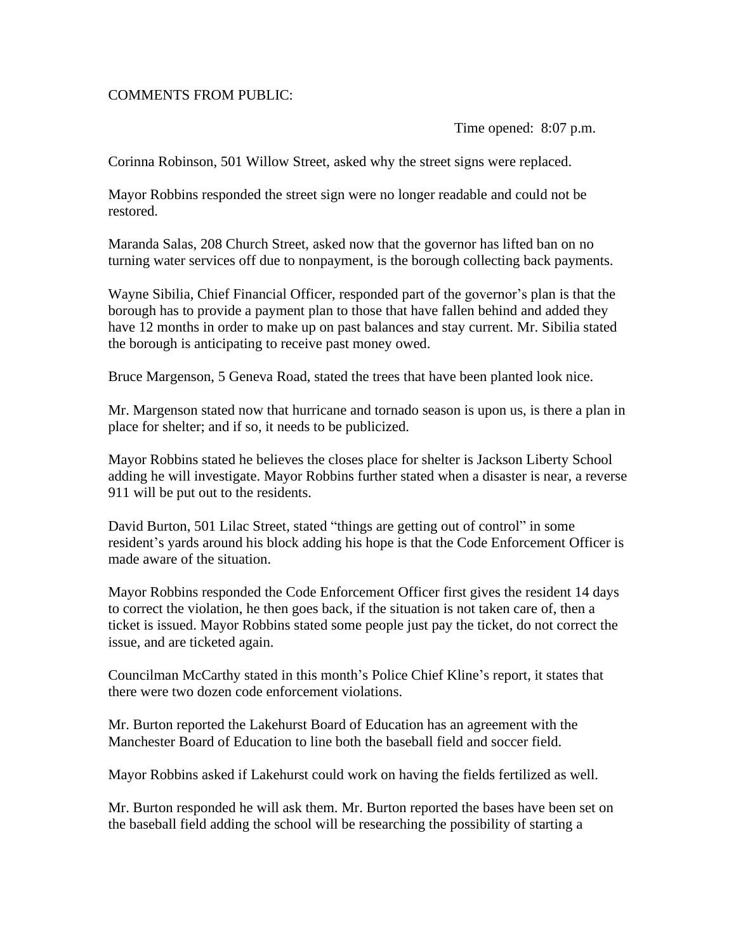## COMMENTS FROM PUBLIC:

Time opened: 8:07 p.m.

Corinna Robinson, 501 Willow Street, asked why the street signs were replaced.

Mayor Robbins responded the street sign were no longer readable and could not be restored.

Maranda Salas, 208 Church Street, asked now that the governor has lifted ban on no turning water services off due to nonpayment, is the borough collecting back payments.

Wayne Sibilia, Chief Financial Officer, responded part of the governor's plan is that the borough has to provide a payment plan to those that have fallen behind and added they have 12 months in order to make up on past balances and stay current. Mr. Sibilia stated the borough is anticipating to receive past money owed.

Bruce Margenson, 5 Geneva Road, stated the trees that have been planted look nice.

Mr. Margenson stated now that hurricane and tornado season is upon us, is there a plan in place for shelter; and if so, it needs to be publicized.

Mayor Robbins stated he believes the closes place for shelter is Jackson Liberty School adding he will investigate. Mayor Robbins further stated when a disaster is near, a reverse 911 will be put out to the residents.

David Burton, 501 Lilac Street, stated "things are getting out of control" in some resident's yards around his block adding his hope is that the Code Enforcement Officer is made aware of the situation.

Mayor Robbins responded the Code Enforcement Officer first gives the resident 14 days to correct the violation, he then goes back, if the situation is not taken care of, then a ticket is issued. Mayor Robbins stated some people just pay the ticket, do not correct the issue, and are ticketed again.

Councilman McCarthy stated in this month's Police Chief Kline's report, it states that there were two dozen code enforcement violations.

Mr. Burton reported the Lakehurst Board of Education has an agreement with the Manchester Board of Education to line both the baseball field and soccer field.

Mayor Robbins asked if Lakehurst could work on having the fields fertilized as well.

Mr. Burton responded he will ask them. Mr. Burton reported the bases have been set on the baseball field adding the school will be researching the possibility of starting a